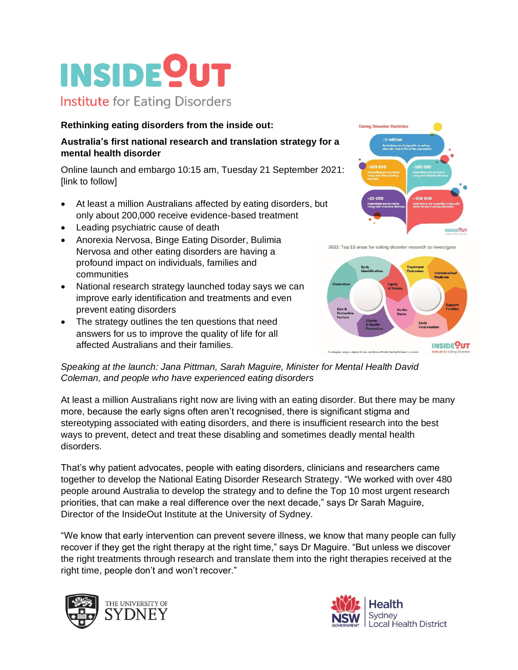## **INSIDE<sup>O</sup>UT Institute for Eating Disorders**

## **Rethinking eating disorders from the inside out:**

## **Australia's first national research and translation strategy for a mental health disorder**

Online launch and embargo 10:15 am, Tuesday 21 September 2021: [link to follow]

- At least a million Australians affected by eating disorders, but only about 200,000 receive evidence-based treatment
- Leading psychiatric cause of death
- Anorexia Nervosa, Binge Eating Disorder, Bulimia Nervosa and other eating disorders are having a profound impact on individuals, families and communities
- National research strategy launched today says we can improve early identification and treatments and even prevent eating disorders
- The strategy outlines the ten questions that need answers for us to improve the quality of life for all affected Australians and their families.



2021: Top 10 areas for eating disorder research to investigate



*Speaking at the launch: Jana Pittman, Sarah Maguire, Minister for Mental Health David Coleman, and people who have experienced eating disorders*

At least a million Australians right now are living with an eating disorder. But there may be many more, because the early signs often aren't recognised, there is significant stigma and stereotyping associated with eating disorders, and there is insufficient research into the best ways to prevent, detect and treat these disabling and sometimes deadly mental health disorders.

That's why patient advocates, people with eating disorders, clinicians and researchers came together to develop the National Eating Disorder Research Strategy. "We worked with over 480 people around Australia to develop the strategy and to define the Top 10 most urgent research priorities, that can make a real difference over the next decade," says Dr Sarah Maguire, Director of the InsideOut Institute at the University of Sydney.

"We know that early intervention can prevent severe illness, we know that many people can fully recover if they get the right therapy at the right time," says Dr Maguire. "But unless we discover the right treatments through research and translate them into the right therapies received at the right time, people don't and won't recover."